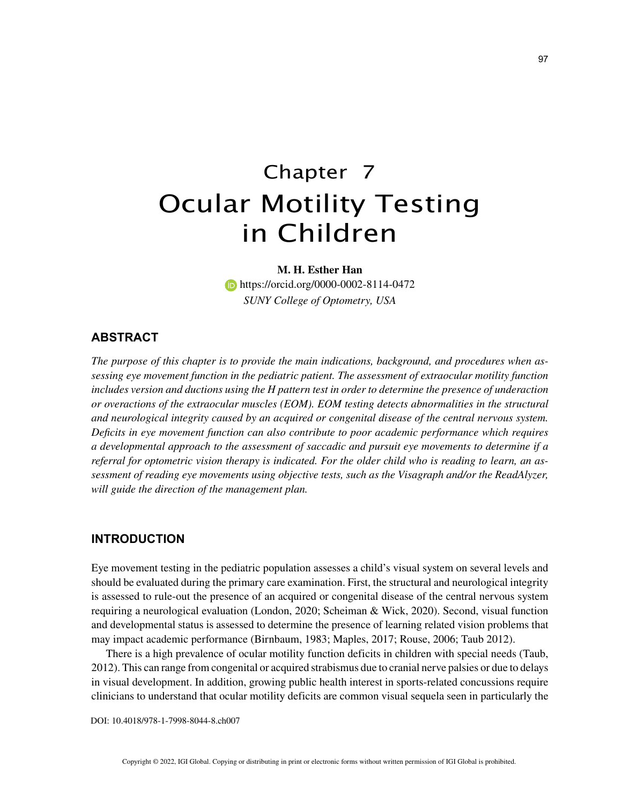# Chapter 7 Ocular Motility Testing in Children

**M. H. Esther Han https://orcid.org/0000-0002-8114-0472** *SUNY College of Optometry, USA*

# **ABSTRACT**

*The purpose of this chapter is to provide the main indications, background, and procedures when assessing eye movement function in the pediatric patient. The assessment of extraocular motility function includes version and ductions using the H pattern test in order to determine the presence of underaction or overactions of the extraocular muscles (EOM). EOM testing detects abnormalities in the structural and neurological integrity caused by an acquired or congenital disease of the central nervous system. Deficits in eye movement function can also contribute to poor academic performance which requires a developmental approach to the assessment of saccadic and pursuit eye movements to determine if a referral for optometric vision therapy is indicated. For the older child who is reading to learn, an assessment of reading eye movements using objective tests, such as the Visagraph and/or the ReadAlyzer, will guide the direction of the management plan.*

### **INTRODUCTION**

Eye movement testing in the pediatric population assesses a child's visual system on several levels and should be evaluated during the primary care examination. First, the structural and neurological integrity is assessed to rule-out the presence of an acquired or congenital disease of the central nervous system requiring a neurological evaluation (London, 2020; Scheiman & Wick, 2020). Second, visual function and developmental status is assessed to determine the presence of learning related vision problems that may impact academic performance (Birnbaum, 1983; Maples, 2017; Rouse, 2006; Taub 2012).

There is a high prevalence of ocular motility function deficits in children with special needs (Taub, 2012). This can range from congenital or acquired strabismus due to cranial nerve palsies or due to delays in visual development. In addition, growing public health interest in sports-related concussions require clinicians to understand that ocular motility deficits are common visual sequela seen in particularly the

DOI: 10.4018/978-1-7998-8044-8.ch007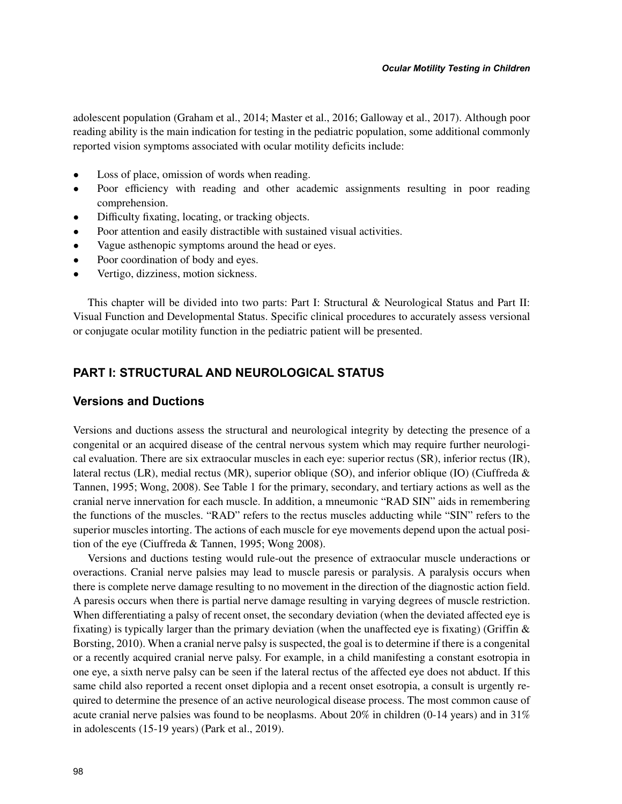adolescent population (Graham et al., 2014; Master et al., 2016; Galloway et al., 2017). Although poor reading ability is the main indication for testing in the pediatric population, some additional commonly reported vision symptoms associated with ocular motility deficits include:

- Loss of place, omission of words when reading.
- Poor efficiency with reading and other academic assignments resulting in poor reading comprehension.
- Difficulty fixating, locating, or tracking objects.
- Poor attention and easily distractible with sustained visual activities.
- Vague asthenopic symptoms around the head or eyes.
- Poor coordination of body and eyes.
- Vertigo, dizziness, motion sickness.

This chapter will be divided into two parts: Part I: Structural & Neurological Status and Part II: Visual Function and Developmental Status. Specific clinical procedures to accurately assess versional or conjugate ocular motility function in the pediatric patient will be presented.

## **PART I: STRUCTURAL AND NEUROLOGICAL STATUS**

## **Versions and Ductions**

Versions and ductions assess the structural and neurological integrity by detecting the presence of a congenital or an acquired disease of the central nervous system which may require further neurological evaluation. There are six extraocular muscles in each eye: superior rectus (SR), inferior rectus (IR), lateral rectus (LR), medial rectus (MR), superior oblique (SO), and inferior oblique (IO) (Ciuffreda & Tannen, 1995; Wong, 2008). See Table 1 for the primary, secondary, and tertiary actions as well as the cranial nerve innervation for each muscle. In addition, a mneumonic "RAD SIN" aids in remembering the functions of the muscles. "RAD" refers to the rectus muscles adducting while "SIN" refers to the superior muscles intorting. The actions of each muscle for eye movements depend upon the actual position of the eye (Ciuffreda & Tannen, 1995; Wong 2008).

Versions and ductions testing would rule-out the presence of extraocular muscle underactions or overactions. Cranial nerve palsies may lead to muscle paresis or paralysis. A paralysis occurs when there is complete nerve damage resulting to no movement in the direction of the diagnostic action field. A paresis occurs when there is partial nerve damage resulting in varying degrees of muscle restriction. When differentiating a palsy of recent onset, the secondary deviation (when the deviated affected eye is fixating) is typically larger than the primary deviation (when the unaffected eye is fixating) (Griffin  $\&$ Borsting, 2010). When a cranial nerve palsy is suspected, the goal is to determine if there is a congenital or a recently acquired cranial nerve palsy. For example, in a child manifesting a constant esotropia in one eye, a sixth nerve palsy can be seen if the lateral rectus of the affected eye does not abduct. If this same child also reported a recent onset diplopia and a recent onset esotropia, a consult is urgently required to determine the presence of an active neurological disease process. The most common cause of acute cranial nerve palsies was found to be neoplasms. About 20% in children (0-14 years) and in 31% in adolescents (15-19 years) (Park et al., 2019).